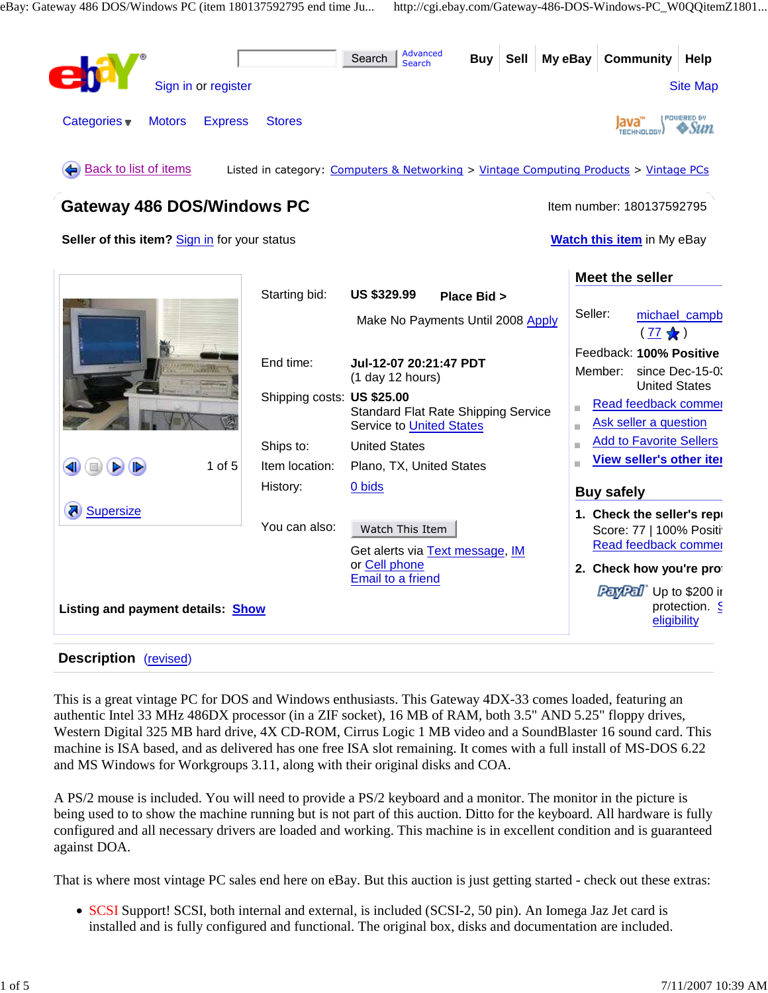

#### **Description** (revised)

This is a great vintage PC for DOS and Windows enthusiasts. This Gateway 4DX-33 comes loaded, featuring an authentic Intel 33 MHz 486DX processor (in a ZIF socket), 16 MB of RAM, both 3.5" AND 5.25" floppy drives, Western Digital 325 MB hard drive, 4X CD-ROM, Cirrus Logic 1 MB video and a SoundBlaster 16 sound card. This machine is ISA based, and as delivered has one free ISA slot remaining. It comes with a full install of MS-DOS 6.22 and MS Windows for Workgroups 3.11, along with their original disks and COA.

A PS/2 mouse is included. You will need to provide a PS/2 keyboard and a monitor. The monitor in the picture is being used to to show the machine running but is not part of this auction. Ditto for the keyboard. All hardware is fully configured and all necessary drivers are loaded and working. This machine is in excellent condition and is guaranteed against DOA.

That is where most vintage PC sales end here on eBay. But this auction is just getting started - check out these extras:

• SCSI Support! SCSI, both internal and external, is included (SCSI-2, 50 pin). An Iomega Jaz Jet card is installed and is fully configured and functional. The original box, disks and documentation are included.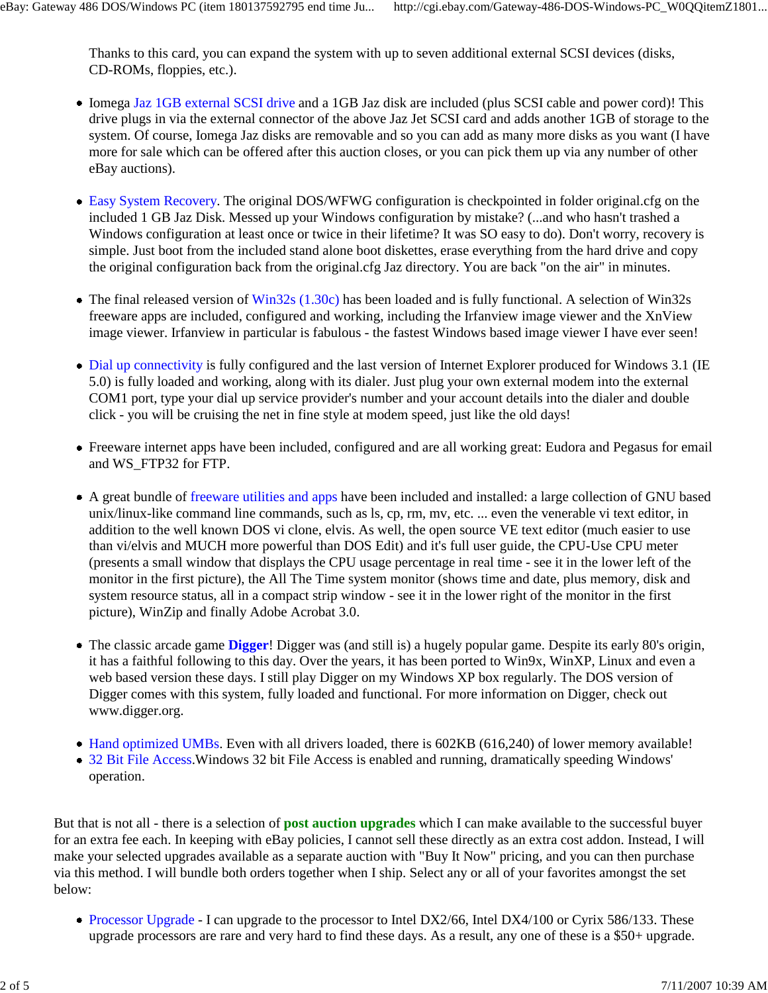Thanks to this card, you can expand the system with up to seven additional external SCSI devices (disks, CD-ROMs, floppies, etc.).

- Iomega Jaz 1GB external SCSI drive and a 1GB Jaz disk are included (plus SCSI cable and power cord)! This drive plugs in via the external connector of the above Jaz Jet SCSI card and adds another 1GB of storage to the system. Of course, Iomega Jaz disks are removable and so you can add as many more disks as you want (I have more for sale which can be offered after this auction closes, or you can pick them up via any number of other eBay auctions).
- Easy System Recovery. The original DOS/WFWG configuration is checkpointed in folder original.cfg on the included 1 GB Jaz Disk. Messed up your Windows configuration by mistake? (...and who hasn't trashed a Windows configuration at least once or twice in their lifetime? It was SO easy to do). Don't worry, recovery is simple. Just boot from the included stand alone boot diskettes, erase everything from the hard drive and copy the original configuration back from the original.cfg Jaz directory. You are back "on the air" in minutes.
- The final released version of Win32s (1.30c) has been loaded and is fully functional. A selection of Win32s freeware apps are included, configured and working, including the Irfanview image viewer and the XnView image viewer. Irfanview in particular is fabulous - the fastest Windows based image viewer I have ever seen!
- Dial up connectivity is fully configured and the last version of Internet Explorer produced for Windows 3.1 (IE 5.0) is fully loaded and working, along with its dialer. Just plug your own external modem into the external COM1 port, type your dial up service provider's number and your account details into the dialer and double click - you will be cruising the net in fine style at modem speed, just like the old days!
- Freeware internet apps have been included, configured and are all working great: Eudora and Pegasus for email and WS\_FTP32 for FTP.
- A great bundle of freeware utilities and apps have been included and installed: a large collection of GNU based unix/linux-like command line commands, such as ls, cp, rm, mv, etc. ... even the venerable vi text editor, in addition to the well known DOS vi clone, elvis. As well, the open source VE text editor (much easier to use than vi/elvis and MUCH more powerful than DOS Edit) and it's full user guide, the CPU-Use CPU meter (presents a small window that displays the CPU usage percentage in real time - see it in the lower left of the monitor in the first picture), the All The Time system monitor (shows time and date, plus memory, disk and system resource status, all in a compact strip window - see it in the lower right of the monitor in the first picture), WinZip and finally Adobe Acrobat 3.0.
- The classic arcade game **Digger**! Digger was (and still is) a hugely popular game. Despite its early 80's origin, it has a faithful following to this day. Over the years, it has been ported to Win9x, WinXP, Linux and even a web based version these days. I still play Digger on my Windows XP box regularly. The DOS version of Digger comes with this system, fully loaded and functional. For more information on Digger, check out www.digger.org.
- Hand optimized UMBs. Even with all drivers loaded, there is 602KB (616,240) of lower memory available!
- 32 Bit File Access. Windows 32 bit File Access is enabled and running, dramatically speeding Windows' operation.

But that is not all - there is a selection of **post auction upgrades** which I can make available to the successful buyer for an extra fee each. In keeping with eBay policies, I cannot sell these directly as an extra cost addon. Instead, I will make your selected upgrades available as a separate auction with "Buy It Now" pricing, and you can then purchase via this method. I will bundle both orders together when I ship. Select any or all of your favorites amongst the set below:

• Processor Upgrade - I can upgrade to the processor to Intel DX2/66, Intel DX4/100 or Cyrix 586/133. These upgrade processors are rare and very hard to find these days. As a result, any one of these is a \$50+ upgrade.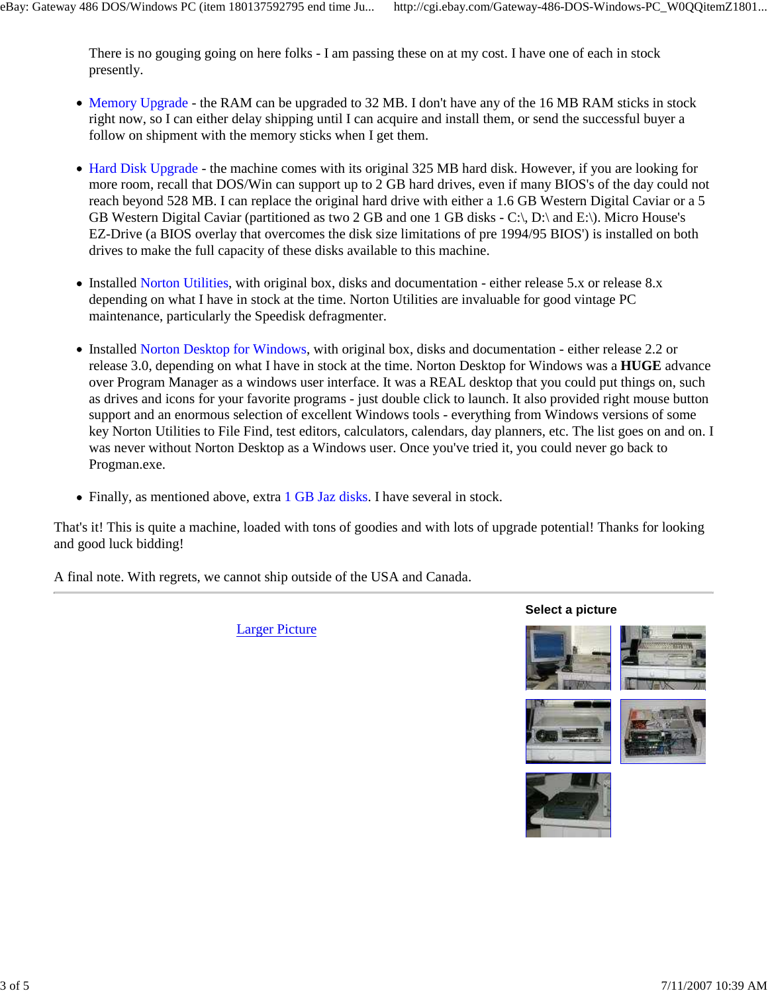There is no gouging going on here folks - I am passing these on at my cost. I have one of each in stock presently.

- Memory Upgrade the RAM can be upgraded to 32 MB. I don't have any of the 16 MB RAM sticks in stock right now, so I can either delay shipping until I can acquire and install them, or send the successful buyer a follow on shipment with the memory sticks when I get them.
- Hard Disk Upgrade the machine comes with its original 325 MB hard disk. However, if you are looking for more room, recall that DOS/Win can support up to 2 GB hard drives, even if many BIOS's of the day could not reach beyond 528 MB. I can replace the original hard drive with either a 1.6 GB Western Digital Caviar or a 5 GB Western Digital Caviar (partitioned as two 2 GB and one 1 GB disks - C:\, D:\ and E:\). Micro House's EZ-Drive (a BIOS overlay that overcomes the disk size limitations of pre 1994/95 BIOS') is installed on both drives to make the full capacity of these disks available to this machine.
- Installed Norton Utilities, with original box, disks and documentation either release 5.x or release 8.x depending on what I have in stock at the time. Norton Utilities are invaluable for good vintage PC maintenance, particularly the Speedisk defragmenter.
- Installed Norton Desktop for Windows, with original box, disks and documentation either release 2.2 or release 3.0, depending on what I have in stock at the time. Norton Desktop for Windows was a **HUGE** advance over Program Manager as a windows user interface. It was a REAL desktop that you could put things on, such as drives and icons for your favorite programs - just double click to launch. It also provided right mouse button support and an enormous selection of excellent Windows tools - everything from Windows versions of some key Norton Utilities to File Find, test editors, calculators, calendars, day planners, etc. The list goes on and on. I was never without Norton Desktop as a Windows user. Once you've tried it, you could never go back to Progman.exe.
- Finally, as mentioned above, extra 1 GB Jaz disks. I have several in stock.

That's it! This is quite a machine, loaded with tons of goodies and with lots of upgrade potential! Thanks for looking and good luck bidding!

A final note. With regrets, we cannot ship outside of the USA and Canada.

Larger Picture

**Select a picture**







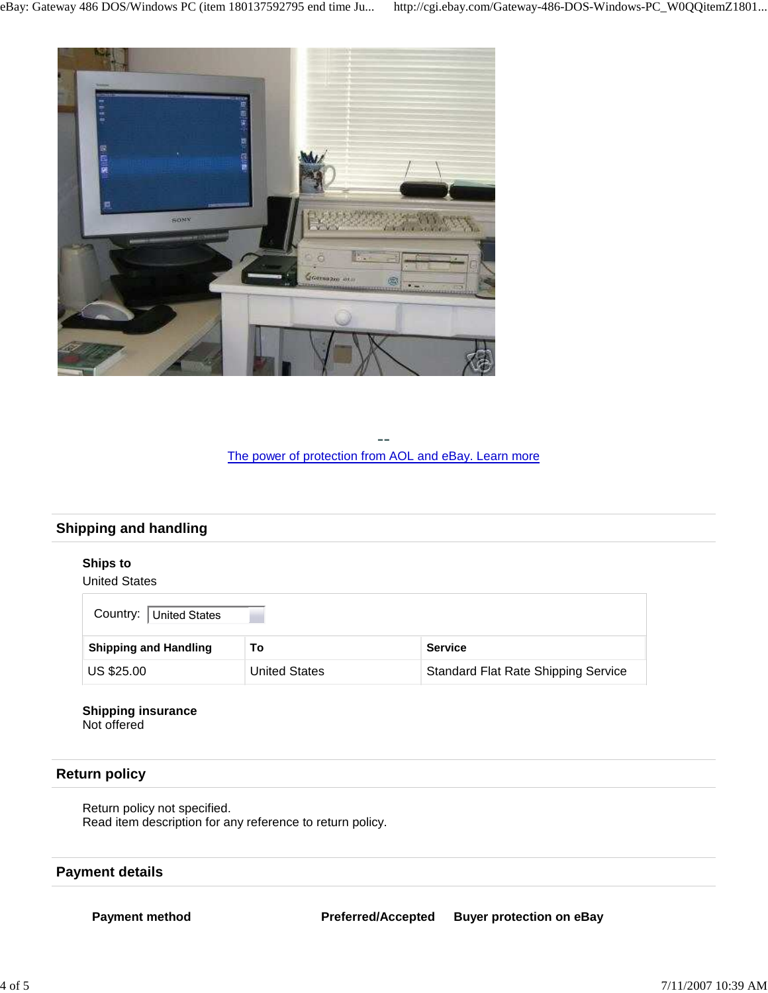

-- The power of protection from AOL and eBay. Learn more

# **Shipping and handling**

### **Ships to**

#### United States

| Country: United States       |                      |                                            |
|------------------------------|----------------------|--------------------------------------------|
| <b>Shipping and Handling</b> | То                   | <b>Service</b>                             |
| US \$25.00                   | <b>United States</b> | <b>Standard Flat Rate Shipping Service</b> |

#### **Shipping insurance** Not offered

### **Return policy**

Return policy not specified. Read item description for any reference to return policy.

### **Payment details**